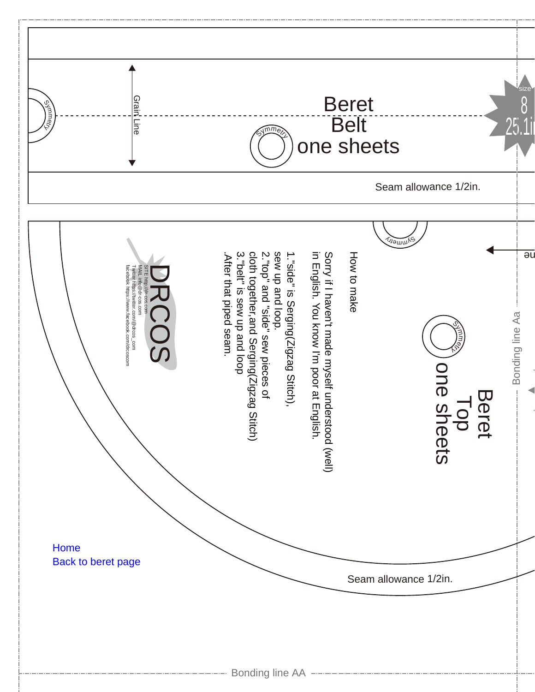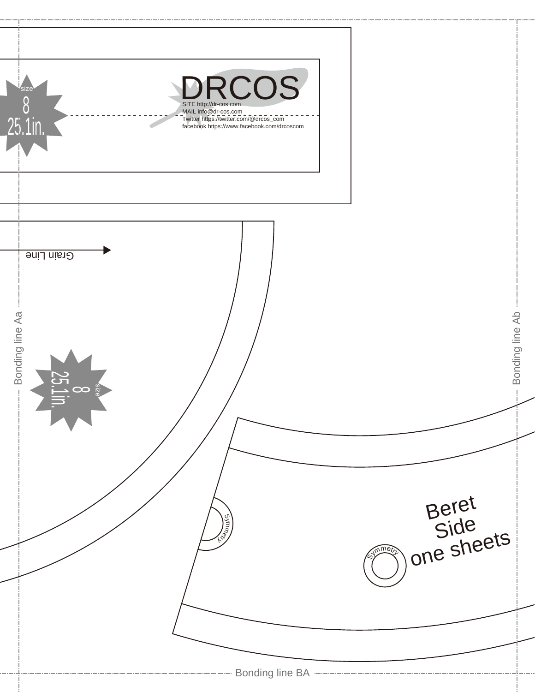